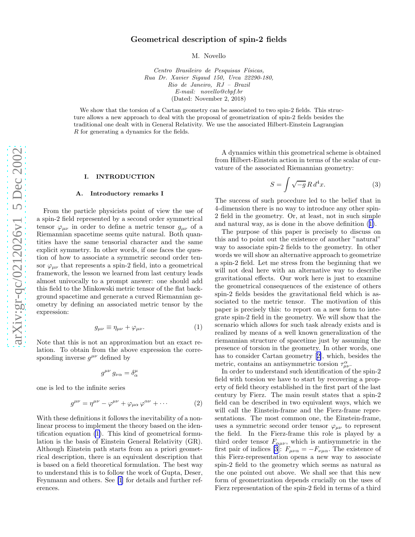# Geometrical description of spin-2 fields

M. Novello

Centro Brasileiro de Pesquisas Físicas, Rua Dr. Xavier Sigaud 150, Urca 22290-180, Rio de Janeiro, RJ – Brazil E-mail: novello@cbpf.br (Dated: November 2, 2018)

<span id="page-0-0"></span>We show that the torsion of a Cartan geometry can be associated to two spin-2 fields. This structure allows a new approach to deal with the proposal of geometrization of spin-2 fields besides the traditional one dealt with in General Relativity. We use the associated Hilbert-Einstein Lagrangian R for generating a dynamics for the fields.

#### I. INTRODUCTION

## A. Introductory remarks I

From the particle physicists point of view the use of a spin-2 field represented by a second order symmetrical tensor  $\varphi_{\mu\nu}$  in order to define a metric tensor  $g_{\mu\nu}$  of a Riemannian spacetime seems quite natural. Both quantities have the same tensorial character and the same explicit symmetry. In other words, if one faces the question of how to associate a symmetric second order tensor  $\varphi_{\mu\nu}$  that represents a spin-2 field, into a geometrical framework, the lesson we learned from last century leads almost univocally to a prompt answer: one should add this field to the Minkowski metric tensor of the flat background spacetime and generate a curved Riemannian geometry by defining an associated metric tensor by the expression:

$$
g_{\mu\nu} \equiv \eta_{\mu\nu} + \varphi_{\mu\nu}.\tag{1}
$$

Note that this is not an approximation but an exact relation. To obtain from the above expression the corresponding inverse  $g^{\mu\nu}$  defined by

$$
g^{\mu\nu}\,g_{\nu\alpha}=\delta^\mu_\alpha
$$

one is led to the infinite series

$$
g^{\mu\nu} = \eta^{\mu\nu} - \varphi^{\mu\nu} + \varphi_{\mu\alpha} \varphi^{\alpha\nu} + \cdots \tag{2}
$$

With these definitions it follows the inevitability of a nonlinear process to implement the theory based on the identification equation (1). This kind of geometrical formulation is the basis of Einstein General Relativity (GR). Although Einstein path starts from an a priori geometrical description, there is an equivalent description that is based on a field theoretical formulation. The best way to understand this is to follow the work of Gupta, Deser, Feynmann and others. See [\[1](#page-7-0)] for details and further references.

A dynamics within this geometrical scheme is obtained from Hilbert-Einstein action in terms of the scalar of curvature of the associated Riemannian geometry:

$$
S = \int \sqrt{-g} R d^4 x. \tag{3}
$$

The success of such procedure led to the belief that in 4-dimension there is no way to introduce any other spin-2 field in the geometry. Or, at least, not in such simple and natural way, as is done in the above definition (1).

The purpose of this paper is precisely to discuss on this and to point out the existence of another "natural" way to associate spin-2 fields to the geometry. In other words we will show an alternative approach to geometrize a spin-2 field. Let me stress from the beginning that we will not deal here with an alternative way to describe gravitational effects. Our work here is just to examine the geometrical consequences of the existence of others spin-2 fields besides the gravitational field which is associated to the metric tensor. The motivation of this paper is precisely this: to report on a new form to integrate spin-2 field in the geometry. We will show that the scenario which allows for such task already exists and is realized by means of a well known generalization of the riemannian structure of spacetime just by assuming the presence of torsion in the geometry. In other words, one has to consider Cartan geometry[[2\]](#page-7-0), which, besides the metric, contains an antisymmetric torsion  $\tau^{\alpha}_{\mu\nu}$ .

In order to understand such identification of the spin-2 field with torsion we have to start by recovering a property of field theory established in the first part of the last century by Fierz. The main result states that a spin-2 field can be described in two equivalent ways, which we will call the Einstein-frame and the Fierz-frame representations. The most common one, the Einstein-frame, uses a symmetric second order tensor  $\varphi_{\mu\nu}$  to represent the field. In the Fierz-frame this role is played by a third order tensor  $F_{\alpha\mu\nu}$ , which is antisymmetric in the first pair of indices [\[3](#page-7-0)]:  $F_{\mu\nu\alpha} = -F_{\nu\mu\alpha}$ . The existence of this Fierz-representation opens a new way to associate spin-2 field to the geometry which seems as natural as the one pointed out above. We shall see that this new form of geometrization depends crucially on the uses of Fierz representation of the spin-2 field in terms of a third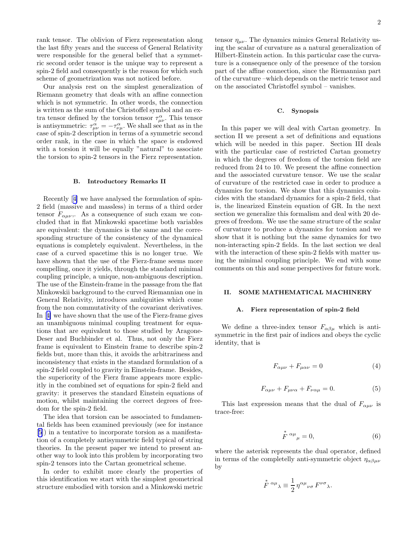<span id="page-1-0"></span>rank tensor. The oblivion of Fierz representation along the last fifty years and the success of General Relativity were responsible for the general belief that a symmetric second order tensor is the unique way to represent a spin-2 field and consequently is the reason for which such scheme of geometrization was not noticed before.

Our analysis rest on the simplest generalization of Riemann geometry that deals with an affine connection which is not symmetric. In other words, the connection is written as the sum of the Christoffel symbol and an extra tensor defined by the torsion tensor  $\tau^{\alpha}_{\mu\nu}$ . This tensor is antisymmetric:  $\tau_{\mu\nu}^{\alpha} = -\tau_{\nu\mu}^{\alpha}$ . We shall see that as in the case of spin-2 description in terms of a symmetric second order rank, in the case in which the space is endowed with a torsion it will be equally "natural" to associate the torsion to spin-2 tensors in the Fierz representation.

#### B. Introductory Remarks II

Recently[[4\]](#page-7-0) we have analysed the formulation of spin-2 field (massive and massless) in terms of a third order tensor  $F_{\alpha\mu\nu}$ ,. As a consequence of such exam we concluded that in flat Minkowski spacetime both variables are equivalent: the dynamics is the same and the corresponding structure of the consistency of the dynamical equations is completely equivalent. Nevertheless, in the case of a curved spacetime this is no longer true. We have shown that the use of the Fierz-frame seems more compelling, once it yields, through the standard minimal coupling principle, a unique, non-ambiguous description. The use of the Einstein-frame in the passage from the flat Minkowskii background to the curved Riemannian one in General Relativity, introduces ambiguities which come from the non commutativity of the covariant derivatives. In[[4\]](#page-7-0) we have shown that the use of the Fierz-frame gives an unambiguous minimal coupling treatment for equations that are equivalent to those studied by Aragone-Deser and Buchbinder et al. Thus, not only the Fierz frame is equivalent to Einstein frame to describe spin-2 fields but, more than this, it avoids the arbitrariness and inconsistency that exists in the standard formulation of a spin-2 field coupled to gravity in Einstein-frame. Besides, the superiority of the Fierz frame appears more explicitly in the combined set of equations for spin-2 field and gravity: it preserves the standard Einstein equations of motion, whilst maintaining the correct degrees of freedom for the spin-2 field.

The idea that torsion can be associated to fundamental fields has been examined previously (see for instance [[5\]](#page-7-0)) in a tentative to incorporate torsion as a manifestation of a completely antisymmetric field typical of string theories. In the present paper we intend to present another way to look into this problem by incorporating two spin-2 tensors into the Cartan geometrical scheme.

In order to exhibit more clearly the properties of this identification we start with the simplest geometrical structure embodied with torsion and a Minkowski metric

tensor  $\eta_{\mu\nu}$ . The dynamics mimics General Relativity using the scalar of curvature as a natural generalization of Hilbert-Einstein action. In this particular case the curvature is a consequence only of the presence of the torsion part of the affine connection, since the Riemannian part of the curvature –which depends on the metric tensor and on the associated Christoffel symbol – vanishes.

## C. Synopsis

In this paper we will deal with Cartan geometry. In section II we present a set of definitions and equations which will be needed in this paper. Section III deals with the particular case of restricted Cartan geometry in which the degrees of freedom of the torsion field are reduced from 24 to 10. We present the affine connection and the associated curvature tensor. We use the scalar of curvature of the restricted case in order to produce a dynamics for torsion. We show that this dynamics coincides with the standard dynamics for a spin-2 field, that is, the linearized Einstein equation of GR. In the next section we generalize this formalism and deal with 20 degrees of freedom. We use the same structure of the scalar of curvature to produce a dynamics for torsion and we show that it is nothing but the same dynamics for two non-interacting spin-2 fields. In the last section we deal with the interaction of these spin-2 fields with matter using the minimal coupling principle. We end with some comments on this and some perspectives for future work.

## II. SOME MATHEMATICAL MACHINERY

## A. Fierz representation of spin-2 field

We define a three-index tensor  $F_{\alpha\beta\mu}$  which is antisymmetric in the first pair of indices and obeys the cyclic identity, that is

$$
F_{\alpha\mu\nu} + F_{\mu\alpha\nu} = 0 \tag{4}
$$

$$
F_{\alpha\mu\nu} + F_{\mu\nu\alpha} + F_{\nu\alpha\mu} = 0. \tag{5}
$$

This last expression means that the dual of  $F_{\alpha\mu\nu}$  is trace-free:

$$
\stackrel{*}{F}^{\alpha\mu}{}_{\mu} = 0,\tag{6}
$$

where the asterisk represents the dual operator, defined in terms of the completelly anti-symmetric object  $\eta_{\alpha\beta\mu\nu}$ by

$$
\stackrel{*}{F}{}^{\alpha\mu}{}_{\lambda} \equiv \frac{1}{2} \eta^{\alpha\mu}{}_{\nu\sigma} F^{\nu\sigma}{}_{\lambda}.
$$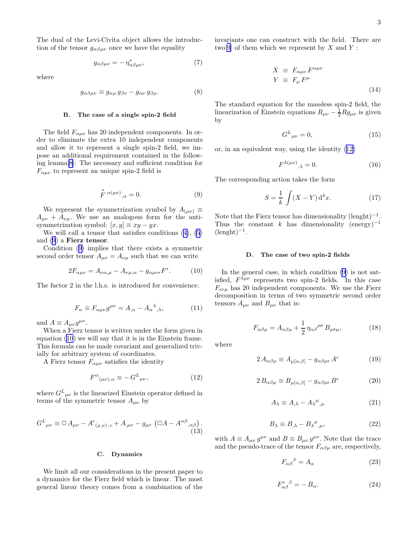<span id="page-2-0"></span>The dual of the Levi-Civita object allows the introduction of the tensor  $g_{\alpha\beta\mu\nu}$  once we have the equality

$$
g_{\alpha\beta\mu\nu} = -\eta_{\alpha\beta\mu\nu}^*,\tag{7}
$$

where

$$
g_{\alpha\beta\mu\nu} \equiv g_{\alpha\mu} \, g_{\beta\nu} - g_{\alpha\nu} \, g_{\beta\mu}.\tag{8}
$$

### B. The case of a single spin-2 field

The field  $F_{\alpha\mu\nu}$  has 20 independent components. In order to eliminate the extra 10 independent components and allow it to represent a single spin-2 field, we impose an additional requirement contained in the following lemma[\[8](#page-7-0)]: The necessary and sufficient condition for  $F_{\alpha\mu\nu}$  to represent an unique spin-2 field is

$$
\stackrel{*}{F}^{\alpha(\mu\nu)}{}_{,\alpha} = 0. \tag{9}
$$

We represent the symmetrization symbol by  $A_{(\mu\nu)} \equiv$  $A_{\mu\nu} + A_{\nu\mu}$ . We use an analogous form for the antisymmetrization symbol:  $[x, y] \equiv xy - yx$ .

We will call a tensor that satisfies conditions([4\)](#page-1-0), [\(5](#page-1-0)) and (9) a Fierz tensor.

Condition (9) implies that there exists a symmetric second order tensor  $A_{\mu\nu} = A_{\nu\mu}$  such that we can write

$$
2F_{\alpha\mu\nu} = A_{\nu\alpha,\mu} - A_{\nu\mu,\alpha} - g_{\alpha\mu\nu\epsilon}F^{\epsilon}.
$$
 (10)

The factor 2 in the l.h.s. is introduced for convenience.

$$
F_{\alpha} \equiv F_{\alpha\mu\nu}g^{\mu\nu} = A_{,\alpha} - A_{\alpha}{}^{\lambda}{}_{,\lambda},\tag{11}
$$

and  $A \equiv A_{\mu\nu} g^{\mu\nu}$ .

When a Fierz tensor is written under the form given in equation (10) we will say that it is in the Einstein frame. This formula can be made covariant and generalized trivially for arbitrary system of coordinates.

A Fierz tensor  $F_{\alpha\mu\nu}$  satisfies the identity

$$
F^{\alpha}{}_{(\mu\nu),\alpha} \equiv -G^{L}{}_{\mu\nu},\tag{12}
$$

where  $G^L{}_{\mu\nu}$  is the linearized Einstein operator defined in terms of the symmetric tensor  $A_{\mu\nu}$  by

$$
G^{L}{}_{\mu\nu} \equiv \Box A_{\mu\nu} - A^{\epsilon}{}_{(\mu,\nu),\epsilon} + A_{,\mu\nu} - g_{\mu\nu} \left( \Box A - A^{\alpha\beta}{}_{,\alpha\beta} \right). \tag{13}
$$

#### C. Dynamics

We limit all our considerations in the present paper to a dynamics for the Fierz field which is linear. The most general linear theory comes from a combination of the invariants one can construct with the field. There are two<sup>[\[9](#page-7-0)]</sup> of them which we represent by  $X$  and  $Y$ :

$$
X \equiv F_{\alpha\mu\nu} F^{\alpha\mu\nu}
$$
  
\n
$$
Y \equiv F_{\mu} F^{\mu}.
$$
\n(14)

The standard equation for the massless spin-2 field, the linearization of Einstein equations  $R_{\mu\nu} - \frac{1}{2} R g_{\mu\nu}$  is given by

$$
G^L{}_{\mu\nu} = 0,\t\t(15)
$$

or, in an equivalent way, using the identity (12)

$$
F^{\lambda(\mu\nu)}_{\lambda\lambda} = 0. \tag{16}
$$

The corresponding action takes the form

$$
S = \frac{1}{k} \int (X - Y) d^4 x.
$$
 (17)

Note that the Fierz tensor has dimensionality  $(\text{length})^{-1}$ . Thus the constant k has dimensionality (energy)<sup>-1</sup>  $(\text{length})^{-1}$ .

#### D. The case of two spin-2 fields

In the general case, in which condition (9) is not satisfied,  $F^{\lambda\mu\nu}$  represents two spin-2 fields. In this case  $F_{\epsilon\nu\mu}$  has 20 independent components. We use the Fierz decomposition in terms of two symmetric second order tensors  $A_{\mu\nu}$  and  $B_{\mu\nu}$  that is:

$$
F_{\alpha\beta\mu} = A_{\alpha\beta\mu} + \frac{1}{2} \eta_{\alpha\beta}^{\rho\sigma} B_{\rho\sigma\mu},\tag{18}
$$

where

$$
2 A_{\alpha\beta\mu} \equiv A_{\mu[\alpha,\beta]} - g_{\alpha\beta\mu\epsilon} A^{\epsilon} \tag{19}
$$

$$
2 B_{\alpha\beta\mu} \equiv B_{\mu[\alpha,\beta]} - g_{\alpha\beta\mu\epsilon} B^{\epsilon} \tag{20}
$$

$$
A_{\lambda} \equiv A_{,\lambda} - A_{\lambda}{}^{\mu}{}_{,\mu} \tag{21}
$$

$$
B_{\lambda} \equiv B_{,\lambda} - B_{\lambda}{}^{\mu}{}_{,\mu},\tag{22}
$$

with  $A \equiv A_{\mu\nu} g^{\mu\nu}$  and  $B \equiv B_{\mu\nu} g^{\mu\nu}$ . Note that the trace and the pseudo-trace of the tensor  $F_{\alpha\beta\mu}$  are, respectively,

$$
F_{\alpha\beta}{}^{\beta} = A_{\alpha} \tag{23}
$$

$$
F_{\alpha\beta}^*{}^\beta = -B_\alpha. \tag{24}
$$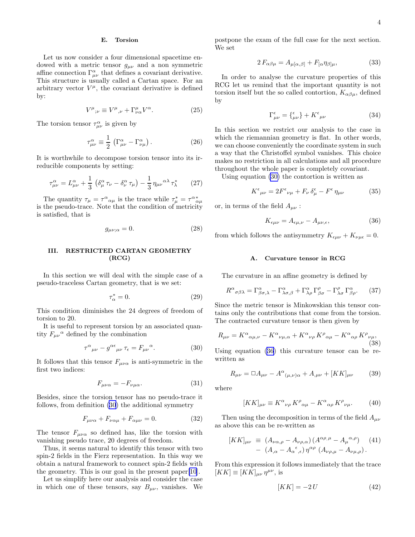#### E. Torsion

<span id="page-3-0"></span>Let us now consider a four dimensional spacetime endowed with a metric tensor  $g_{\mu\nu}$  and a non symmetric affine connection  $\Gamma^{\alpha}_{\mu\nu}$  that defines a covariant derivative. This structure is usually called a Cartan space. For an arbitrary vector  $V^{\mu}$ , the covariant derivative is defined by:

$$
V^{\mu}{}_{;\nu} \equiv V^{\mu}{}_{,\nu} + \Gamma^{\mu}_{\nu\alpha} V^{\alpha}.
$$
 (25)

The torsion tensor  $\tau_{\mu\nu}^{\alpha}$  is given by

$$
\tau_{\mu\nu}^{\alpha} \equiv \frac{1}{2} \left( \Gamma_{\mu\nu}^{\alpha} - \Gamma_{\nu\mu}^{\alpha} \right). \tag{26}
$$

It is worthwhile to decompose torsion tensor into its irreducible components by setting:

$$
\tau^{\alpha}_{\mu\nu} = L^{\alpha}_{\mu\nu} + \frac{1}{3} \left( \delta^{\alpha}_{\mu} \tau_{\nu} - \delta^{\alpha}_{\nu} \tau_{\mu} \right) - \frac{1}{3} \eta_{\mu\nu}{}^{\alpha\lambda} \tau^*_{\lambda} \qquad (27)
$$

The quantity  $\tau_{\mu} = \tau^{\alpha}{}_{\alpha\mu}$  is the trace while  $\tau_{\mu}^{*} = \tau^{\alpha}{}_{\alpha\mu}^{*}$  is the pseudo-trace. Note that the condition of metricity is satisfied, that is

$$
g_{\mu\nu;\alpha} = 0.\tag{28}
$$

## III. RESTRICTED CARTAN GEOMETRY (RCG)

In this section we will deal with the simple case of a pseudo-traceless Cartan geometry, that is we set:

$$
\tau^*_{\alpha} = 0. \tag{29}
$$

This condition diminishes the 24 degrees of freedom of torsion to 20.

It is useful to represent torsion by an associated quantity  $F_{\mu\nu}{}^{\alpha}$  defined by the combination

$$
\tau^{\alpha}{}_{\mu\nu} - g^{\alpha\epsilon}{}_{\mu\nu}\tau_{\epsilon} = F_{\mu\nu}{}^{\alpha}.\tag{30}
$$

It follows that this tensor  $F_{\mu\nu\alpha}$  is anti-symmetric in the first two indices:

$$
F_{\mu\nu\alpha} = -F_{\nu\mu\alpha}.\tag{31}
$$

Besides, since the torsion tensor has no pseudo-trace it follows, from definition (30) the additional symmetry

$$
F_{\mu\nu\alpha} + F_{\nu\alpha\mu} + F_{\alpha\mu\nu} = 0. \tag{32}
$$

The tensor  $F_{\mu\nu\alpha}$  so defined has, like the torsion with vanishing pseudo trace, 20 degrees of freedom.

Thus, it seems natural to identify this tensor with two spin-2 fields in the Fierz representation. In this way we obtain a natural framework to connect spin-2 fields with the geometry. This is our goal in the present paper[\[10](#page-7-0)].

Let us simplify here our analysis and consider the case in which one of these tensors, say  $B_{\mu\nu}$ , vanishes. We postpone the exam of the full case for the next section. We set

$$
2 F_{\alpha\beta\mu} = A_{\mu[\alpha,\beta]} + F_{[\alpha}\eta_{\beta]\mu}, \tag{33}
$$

In order to analyse the curvature properties of this RCG let us remind that the important quantity is not torsion itself but the so called contortion,  $K_{\alpha\beta\mu}$ , defined by

$$
\Gamma^{\epsilon}_{\mu\nu} = \{^{\epsilon}_{\mu\nu}\} + K^{\epsilon}_{\mu\nu} \tag{34}
$$

In this section we restrict our analysis to the case in which the riemannian geometry is flat. In other words, we can choose conveniently the coordinate system in such a way that the Christoffel symbol vanishes. This choice makes no restriction in all calculations and all procedure throughout the whole paper is completely covariant.

Using equation (30) the contortion is written as

$$
K^{\epsilon}{}_{\mu\nu} = 2F^{\epsilon}{}_{\nu\mu} + F_{\nu}\,\delta^{\epsilon}_{\mu} - F^{\epsilon}\,\eta_{\mu\nu} \tag{35}
$$

or, in terms of the field  $A_{\mu\nu}$ :

$$
K_{\epsilon\mu\nu} = A_{\epsilon\mu,\nu} - A_{\mu\nu,\epsilon},\tag{36}
$$

from which follows the antisymmetry  $K_{\epsilon\mu\nu} + K_{\nu\mu\epsilon} = 0$ .

### A. Curvature tensor in RCG

The curvature in an affine geometry is defined by

$$
R^{\alpha}{}_{\sigma\beta\lambda} = \Gamma^{\alpha}_{\beta\sigma,\lambda} - \Gamma^{\alpha}_{\lambda\sigma,\beta} + \Gamma^{\alpha}_{\lambda\rho} \Gamma^{\rho}_{\beta\sigma} - \Gamma^{\rho}_{\lambda\sigma} \Gamma^{\alpha}_{\beta\rho}.
$$
 (37)

Since the metric tensor is Minkowskian this tensor contains only the contributions that come from the torsion. The contracted curvature tensor is then given by

$$
R_{\mu\nu} = K^{\alpha}{}_{\alpha\mu,\nu} - K^{\alpha}{}_{\nu\mu,\alpha} + K^{\alpha}{}_{\nu\rho} K^{\rho}{}_{\alpha\mu} - K^{\alpha}{}_{\alpha\rho} K^{\rho}{}_{\nu\mu},
$$
\n(38)

Using equation (36) this curvature tensor can be rewritten as

$$
R_{\mu\nu} = \Box A_{\mu\nu} - A^{\alpha}{}_{(\mu,\nu)\alpha} + A_{,\mu\nu} + [KK]_{\mu\nu} \tag{39}
$$

where

$$
[KK]_{\mu\nu} \equiv K^{\alpha}{}_{\nu\rho} K^{\rho}{}_{\alpha\mu} - K^{\alpha}{}_{\alpha\rho} K^{\rho}{}_{\nu\mu}.
$$
 (40)

Then using the decomposition in terms of the field  $A_{\mu\nu}$ as above this can be re-written as

$$
[KK]_{\mu\nu} \equiv (A_{\nu\alpha,\rho} - A_{\nu\rho,\alpha}) (A^{\alpha\rho,\mu} - A_{\mu}{}^{\alpha,\rho}) \quad (41)
$$

$$
- (A_{,\alpha} - A_{\alpha}{}^{\epsilon},_{\epsilon}) \eta^{\alpha\rho} (A_{\nu\rho,\mu} - A_{\nu\mu,\rho}).
$$

From this expression it follows immediately that the trace  $[KK] \equiv [KK]_{\mu\nu} \eta^{\mu\nu}$ , is

$$
[KK] = -2 U \tag{42}
$$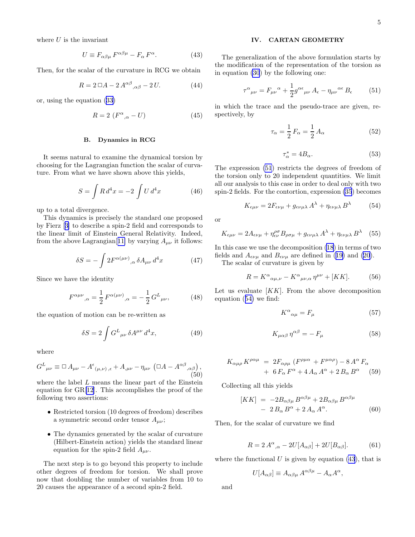<span id="page-4-0"></span>where  $U$  is the invariant

$$
U \equiv F_{\alpha\beta\mu} F^{\alpha\beta\mu} - F_{\alpha} F^{\alpha}.
$$
 (43)

Then, for the scalar of the curvature in RCG we obtain

$$
R = 2 \Box A - 2 A^{\alpha\beta}{}_{,\alpha\beta} - 2 U. \tag{44}
$$

or, using the equation([33\)](#page-3-0)

$$
R = 2\ (F^{\alpha}_{\quad,\alpha} - U) \tag{45}
$$

#### B. Dynamics in RCG

It seems natural to examine the dynamical torsion by choosing for the Lagrangian function the scalar of curvature. From what we have shown above this yields,

$$
S = \int R d^4 x = -2 \int U d^4 x \tag{46}
$$

up to a total divergence.

This dynamics is precisely the standard one proposed by Fierz[[3\]](#page-7-0) to describe a spin-2 field and corresponds to the linear limit of Einstein General Relativity. Indeed, from the above Lagrangian<sup>[[11\]](#page-7-0)</sup> by varying  $A_{\mu\nu}$  it follows:

$$
\delta S = -\int 2F^{\alpha(\mu\nu)}{}_{,\alpha} \delta A_{\mu\nu} d^4x \tag{47}
$$

Since we have the identity

$$
F^{\alpha\mu\nu}{}_{,\alpha} = \frac{1}{2} F^{\alpha(\mu\nu)}{}_{,\alpha} = -\frac{1}{2} G^L{}_{\mu\nu},\tag{48}
$$

the equation of motion can be re-written as

$$
\delta S = 2 \int G^L{}_{\mu\nu} \delta A^{\mu\nu} d^4 x,\tag{49}
$$

where

$$
G^{L}{}_{\mu\nu} \equiv \Box A_{\mu\nu} - A^{\epsilon}{}_{(\mu,\nu),\epsilon} + A_{,\mu\nu} - \eta_{\mu\nu} \left( \Box A - A^{\alpha\beta}{}_{,\alpha\beta} \right),
$$
\n(50)

where the label L means the linear part of the Einstein equation for GR[[12\]](#page-7-0). This accomplishes the proof of the following two assertions:

- Restricted torsion (10 degrees of freedom) describes a symmetric second order tensor  $A_{\mu\nu}$ ;
- The dynamics generated by the scalar of curvature (Hilbert-Einstein action) yields the standard linear equation for the spin-2 field  $A_{\mu\nu}$ .

The next step is to go beyond this property to include other degrees of freedom for torsion. We shall prove now that doubling the number of variables from 10 to 20 causes the appearance of a second spin-2 field.

## IV. CARTAN GEOMETRY

The generalization of the above formulation starts by the modification of the representation of the torsion as in equation [\(30](#page-3-0)) by the following one:

$$
\tau^{\alpha}{}_{\mu\nu} = F_{\mu\nu}{}^{\alpha} + \frac{1}{2} g^{\alpha\epsilon}{}_{\mu\nu} A_{\epsilon} - \eta_{\mu\nu}{}^{\alpha\epsilon} B_{\epsilon} \tag{51}
$$

in which the trace and the pseudo-trace are given, respectively, by

$$
\tau_{\alpha} = \frac{1}{2} F_{\alpha} = \frac{1}{2} A_{\alpha} \tag{52}
$$

$$
\tau_{\alpha}^* = 4B_{\alpha}.\tag{53}
$$

The expression (51) restricts the degrees of freedom of the torsion only to 20 independent quantities. We limit all our analysis to this case in order to deal only with two spin-2 fields. For the contortion, expression [\(35](#page-3-0)) becomes

$$
K_{\epsilon\mu\nu} = 2F_{\epsilon\nu\mu} + g_{\epsilon\nu\mu\lambda}A^{\lambda} + \eta_{\epsilon\nu\mu\lambda}B^{\lambda}
$$
 (54)

or

$$
K_{\epsilon\mu\nu} = 2A_{\epsilon\nu\mu} + \eta^{\rho\sigma}_{\epsilon\nu}B_{\rho\sigma\mu} + g_{\epsilon\nu\mu\lambda}A^{\lambda} + \eta_{\epsilon\nu\mu\lambda}B^{\lambda} \quad (55)
$$

In this case we use the decomposition [\(18](#page-2-0)) in terms of two fieldsand  $A_{\epsilon\nu\mu}$  and  $B_{\epsilon\nu\mu}$  are defined in ([19\)](#page-2-0) and [\(20](#page-2-0)).

The scalar of curvature is given by

$$
R = K^{\alpha}{}_{\alpha\mu,\nu} - K^{\alpha}{}_{\mu\nu,\alpha} \eta^{\mu\nu} + [KK]. \tag{56}
$$

Let us evaluate  $[KK]$ . From the above decomposition equation (54) we find:

$$
K^{\alpha}{}_{\alpha\mu} = F_{\mu} \tag{57}
$$

$$
K_{\mu\alpha\beta}\,\eta^{\alpha\beta} = -\,F_{\mu}\tag{58}
$$

$$
K_{\alpha\mu\rho} K^{\rho\alpha\mu} = 2F_{\alpha\rho\mu} (F^{\rho\mu\alpha} + F^{\mu\alpha\rho}) - 8 A^{\alpha} F_{\alpha} + 6 F_{\alpha} F^{\alpha} + 4 A_{\alpha} A^{\alpha} + 2 B_{\alpha} B^{\alpha}
$$
 (59)

Collecting all this yields

$$
[KK] = -2B_{\alpha\beta\mu}B^{\alpha\beta\mu} + 2B_{\alpha\beta\mu}B^{\alpha\beta\mu}
$$

$$
- 2B_{\alpha}B^{\alpha} + 2A_{\alpha}A^{\alpha}.
$$
 (60)

Then, for the scalar of curvature we find

$$
R = 2 A^{\alpha}{}_{,\alpha} - 2U[A_{\alpha\beta}] + 2U[B_{\alpha\beta}].
$$
 (61)

where the functional  $U$  is given by equation (43), that is

$$
U[A_{\alpha\beta}] \equiv A_{\alpha\beta\mu} A^{\alpha\beta\mu} - A_{\alpha} A^{\alpha},
$$

and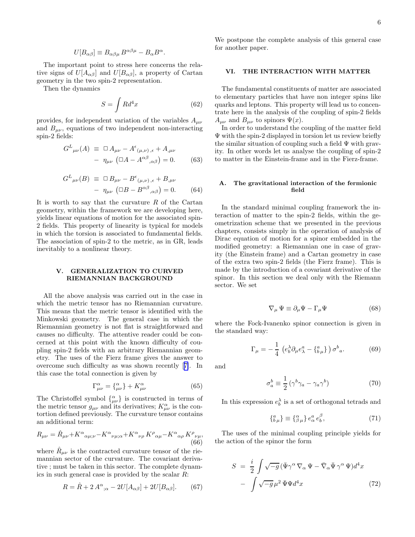$$
U[B_{\alpha\beta}] \equiv B_{\alpha\beta\mu} B^{\alpha\beta\mu} - B_{\alpha} B^{\alpha}.
$$

<span id="page-5-0"></span>The important point to stress here concerns the relative signs of  $U[A_{\alpha\beta}]$  and  $U[B_{\alpha\beta}]$ , a property of Cartan geometry in the two spin-2 representation.

Then the dynamics

$$
S = \int R d^4 x \tag{62}
$$

provides, for independent variation of the variables  $A_{\mu\nu}$ and  $B_{\mu\nu}$ , equations of two independent non-interacting spin-2 fields:

$$
G^{L}_{\mu\nu}(A) \equiv \Box A_{\mu\nu} - A^{\epsilon}_{(\mu,\nu),\epsilon} + A_{,\mu\nu}
$$

$$
- \eta_{\mu\nu} (\Box A - A^{\alpha\beta}_{\alpha\beta}) = 0. \qquad (63)
$$

$$
G^{L}_{\mu\nu}(B) \equiv \Box B_{\mu\nu} - B^{\epsilon}_{(\mu,\nu),\epsilon} + B_{,\mu\nu}
$$

$$
- \eta_{\mu\nu} (\Box B - B^{\alpha\beta}_{\phantom{\alpha\beta},\alpha\beta}) = 0. \qquad (64)
$$

It is worth to say that the curvature  $R$  of the Cartan geometry, within the framework we are developing here, yields linear equations of motion for the associated spin-2 fields. This property of linearity is typical for models in which the torsion is associated to fundamental fields. The association of spin-2 to the metric, as in GR, leads inevitably to a nonlinear theory.

## V. GENERALIZATION TO CURVED RIEMANNIAN BACKGROUND

All the above analysis was carried out in the case in which the metric tensor has no Riemannian curvature. This means that the metric tensor is identified with the Minkowski geometry. The general case in which the Riemannian geometry is not flat is straightforward and causes no difficulty. The attentive reader could be concerned at this point with the known difficulty of coupling spin-2 fields with an arbitrary Riemannian geometry. The uses of the Fierz frame gives the answer to overcome such difficulty as was shown recently[[7\]](#page-7-0). In this case the total connection is given by

$$
\Gamma^{\alpha}_{\mu\nu} = \{^{\alpha}_{\mu\nu}\} + K^{\alpha}_{\mu\nu} \tag{65}
$$

The Christoffel symbol  $\{\alpha_{\mu\nu}\}\$ is constructed in terms of the metric tensor  $g_{\mu\nu}$  and its derivatives;  $K^{\alpha}_{\mu\nu}$  is the contortion defined previously. The curvature tensor contains an additional term:

$$
R_{\mu\nu} = \hat{R}_{\mu\nu} + K^{\alpha}{}_{\alpha\mu;\nu} - K^{\alpha}{}_{\nu\mu;\alpha} + K^{\alpha}{}_{\nu\rho} K^{\rho}{}_{\alpha\mu} - K^{\alpha}{}_{\alpha\rho} K^{\rho}{}_{\nu\mu},
$$
\n(66)

where  $\hat{R}_{\mu\nu}$  is the contracted curvature tensor of the riemannian sector of the curvature. The covariant derivative ; must be taken in this sector. The complete dynamics in such general case is provided by the scalar R:

$$
R = \hat{R} + 2 A^{\alpha}{}_{;\alpha} - 2U[A_{\alpha\beta}] + 2U[B_{\alpha\beta}].
$$
 (67)

We postpone the complete analysis of this general case for another paper.

## VI. THE INTERACTION WITH MATTER

The fundamental constituents of matter are associated to elementary particles that have non integer spins like quarks and leptons. This property will lead us to concentrate here in the analysis of the coupling of spin-2 fields  $A_{\mu\nu}$  and  $B_{\mu\nu}$  to spinors  $\Psi(x)$ .

In order to understand the coupling of the matter field Ψ with the spin-2 displayed in torsion let us review briefly the similar situation of coupling such a field  $\Psi$  with gravity. In other words let us analyse the coupling of spin-2 to matter in the Einstein-frame and in the Fierz-frame.

## A. The gravitational interaction of the fermionic field

In the standard minimal coupling framework the interaction of matter to the spin-2 fields, within the geometrization scheme that we presented in the previous chapters, consists simply in the operation of analysis of Dirac equation of motion for a spinor embedded in the modified geometry: a Riemannian one in case of gravity (the Einstein frame) and a Cartan geometry in case of the extra two spin-2 fields (the Fierz frame). This is made by the introduction of a covariant derivative of the spinor. In this section we deal only with the Riemann sector. We set

$$
\nabla_{\mu} \Psi \equiv \partial_{\mu} \Psi - \Gamma_{\mu} \Psi \tag{68}
$$

where the Fock-Ivanenko spinor connection is given in the standard way:

$$
\Gamma_{\mu} = -\frac{1}{4} \left( e_b^{\lambda} \partial_{\mu} e_{\lambda}^a - \{^a_{b\mu} \} \right) \sigma^b{}_a. \tag{69}
$$

and

$$
\sigma_a^b \equiv \frac{1}{2} \left( \gamma^b \gamma_a - \gamma_a \gamma^b \right) \tag{70}
$$

In this expression  $e_b^{\lambda}$  is a set of orthogonal tetrads and

$$
\{^a_{b\,\mu}\} \equiv \{^\alpha_{\beta\,\mu}\} \, e^\alpha_\alpha \, e^\beta_b,\tag{71}
$$

The uses of the minimal coupling principle yields for the action of the spinor the form

$$
S = \frac{i}{2} \int \sqrt{-g} \left( \bar{\Psi} \gamma^{\alpha} \nabla_{\alpha} \Psi - \bar{\nabla}_{\alpha} \bar{\Psi} \gamma^{\alpha} \Psi \right) d^{4}x
$$

$$
- \int \sqrt{-g} \,\mu^{2} \bar{\Psi} \Psi d^{4}x \tag{72}
$$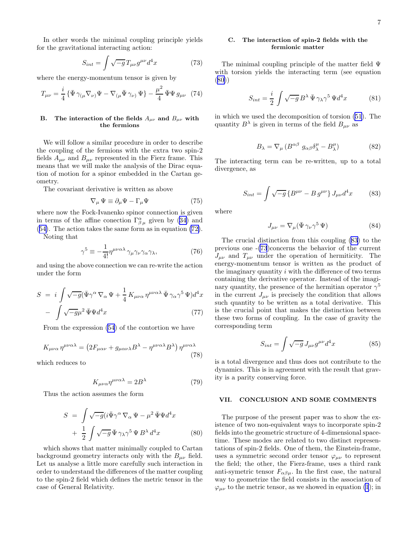In other words the minimal coupling principle yields for the gravitational interacting action:

$$
S_{int} = \int \sqrt{-g} T_{\mu\nu} g^{\mu\nu} d^4 x \tag{73}
$$

where the energy-momentum tensor is given by

$$
T_{\mu\nu} = \frac{i}{4} \{ \bar{\Psi} \gamma_{(\mu} \nabla_{\nu)} \Psi - \nabla_{(\mu} \bar{\Psi} \gamma_{\nu)} \Psi \} - \frac{\mu^2}{4} \bar{\Psi} \Psi g_{\mu\nu} \tag{74}
$$

### B. The interaction of the fields  $A_{\mu\nu}$  and  $B_{\mu\nu}$  with the fermions

We will follow a similar procedure in order to describe the coupling of the fermions with the extra two spin-2 fields  $A_{\mu\nu}$  and  $B_{\mu\nu}$  represented in the Fierz frame. This means that we will make the analysis of the Dirac equation of motion for a spinor embedded in the Cartan geometry.

The covariant derivative is written as above

$$
\nabla_{\mu} \Psi \equiv \partial_{\mu} \Psi - \Gamma_{\mu} \Psi \tag{75}
$$

where now the Fock-Ivanenko spinor connection is given interms of the affine conection  $\Gamma^{\alpha}_{\beta\,\mu}$  given by ([34](#page-3-0)) and ([54\)](#page-4-0). The action takes the same form as in equation [\(72\)](#page-5-0).

Noting that

$$
\gamma^5 \equiv -\frac{1}{4!} \eta^{\mu\nu\alpha\lambda} \gamma_\mu \gamma_\nu \gamma_\alpha \gamma_\lambda,\tag{76}
$$

and using the above connection we can re-write the action under the form

$$
S = i \int \sqrt{-g} (\bar{\Psi} \gamma^{\alpha} \nabla_{\alpha} \Psi + \frac{1}{4} K_{\mu\nu\alpha} \eta^{\mu\nu\alpha\lambda} \bar{\Psi} \gamma_{\alpha} \gamma^{5} \Psi) d^{4}x
$$

$$
- \int \sqrt{-g} \mu^{2} \bar{\Psi} \Psi d^{4}x \tag{77}
$$

From the expression [\(54](#page-4-0)) of the contortion we have

$$
K_{\mu\nu\alpha} \eta^{\mu\nu\alpha\lambda} = \left(2F_{\mu\alpha\nu} + g_{\mu\alpha\nu\lambda}B^{\lambda} - \eta^{\mu\nu\alpha\lambda}B^{\lambda}\right)\eta^{\mu\nu\alpha\lambda} \tag{78}
$$

which reduces to

$$
K_{\mu\nu\alpha}\eta^{\mu\nu\alpha\lambda} = 2B^{\lambda} \tag{79}
$$

Thus the action assumes the form

$$
S = \int \sqrt{-g} (i\bar{\Psi}\gamma^{\alpha}\nabla_{\alpha}\Psi - \mu^{2}\bar{\Psi}\Psi d^{4}x + \frac{1}{2} \int \sqrt{-g}\bar{\Psi}\gamma_{\lambda}\gamma^{5}\Psi B^{\lambda} d^{4}x
$$
 (80)

which shows that matter minimally coupled to Cartan background geometry interacts only with the  $B_{\mu\nu}$  field. Let us analyse a little more carefully such interaction in order to understand the differences of the matter coupling to the spin-2 field which defines the metric tensor in the case of General Relativity.

## C. The interaction of spin-2 fields with the fermionic matter

The minimal coupling principle of the matter field Ψ with torsion yields the interacting term (see equation (80))

$$
S_{int} = \frac{i}{2} \int \sqrt{-g} B^{\lambda} \bar{\Psi} \gamma_{\lambda} \gamma^{5} \Psi d^{4} x \qquad (81)
$$

in which we used the decomposition of torsion([51\)](#page-4-0). The quantity  $B^{\lambda}$  is given in terms of the field  $B_{\mu\nu}$  as

$$
B_{\lambda} = \nabla_{\mu} \left( B^{\alpha \beta} \ g_{\alpha \beta} \delta^{\mu}_{\lambda} - B^{\mu}_{\lambda} \right) \tag{82}
$$

The interacting term can be re-written, up to a total divergence, as

$$
S_{int} = \int \sqrt{-g} \left\{ B^{\mu\nu} - B g^{\mu\nu} \right\} J_{\mu\nu} d^4 x \tag{83}
$$

where

$$
J_{\mu\nu} = \nabla_{\mu} (\bar{\Psi} \gamma_{\nu} \gamma^5 \Psi) \tag{84}
$$

The crucial distinction from this coupling (83) to the previous one -(73)concerns the behavior of the current  $J_{\mu\nu}$  and  $T_{\mu\nu}$  under the operation of hermiticity. The energy-momentum tensor is written as the product of the imaginary quantity  $i$  with the difference of two terms containing the derivative operator. Instead of the imaginary quantity, the presence of the hermitian operator  $\gamma^5$ in the current  $J_{\mu\nu}$  is precisely the condition that allows such quantity to be written as a total derivative. This is the crucial point that makes the distinction between these two forms of coupling. In the case of gravity the corresponding term

$$
S_{int} = \int \sqrt{-g} J_{\mu\nu} g^{\mu\nu} d^4 x \tag{85}
$$

is a total divergence and thus does not contribute to the dynamics. This is in agreement with the result that gravity is a parity conserving force.

## VII. CONCLUSION AND SOME COMMENTS

The purpose of the present paper was to show the existence of two non-equivalent ways to incorporate spin-2 fields into the geometric structure of 4-dimensional spacetime. These modes are related to two distinct representations of spin-2 fields. One of them, the Einstein-frame, uses a symmetric second order tensor  $\varphi_{\mu\nu}$  to represent the field; the other, the Fierz-frame, uses a third rank anti-symetric tensor  $F_{\alpha\beta\mu}$ . In the first case, the natural way to geometrize the field consists in the association of  $\varphi_{\mu\nu}$  to the metric tensor, as we showed in equation [\(1](#page-0-0)); in